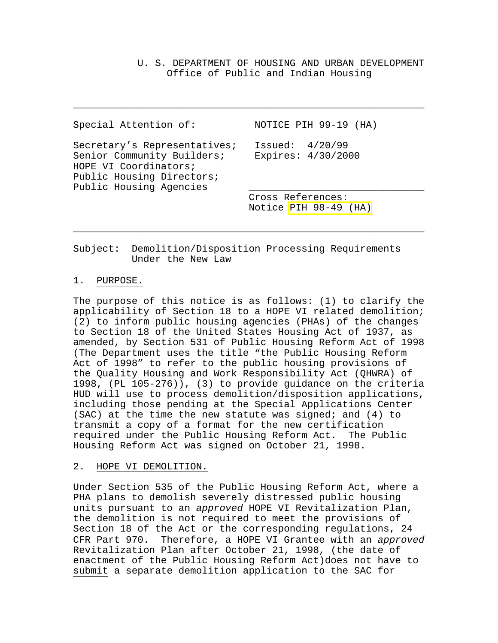U. S. DEPARTMENT OF HOUSING AND URBAN DEVELOPMENT Office of Public and Indian Housing

| Special Attention of:                                                                                                                       | NOTICE PIH 99-19 (HA)                      |
|---------------------------------------------------------------------------------------------------------------------------------------------|--------------------------------------------|
| Secretary's Representatives;<br>Senior Community Builders;<br>HOPE VI Coordinators;<br>Public Housing Directors;<br>Public Housing Agencies | Issued: $4/20/99$<br>Expires: 4/30/2000    |
|                                                                                                                                             | Cross References:<br>Notice PIH 98-49 (HA) |

\_\_\_\_\_\_\_\_\_\_\_\_\_\_\_\_\_\_\_\_\_\_\_\_\_\_\_\_\_\_\_\_\_\_\_\_\_\_\_\_\_\_\_\_\_\_\_\_\_\_\_\_\_\_\_\_\_\_\_\_

\_\_\_\_\_\_\_\_\_\_\_\_\_\_\_\_\_\_\_\_\_\_\_\_\_\_\_\_\_\_\_\_\_\_\_\_\_\_\_\_\_\_\_\_\_\_\_\_\_\_\_\_\_\_\_\_\_\_\_\_

Subject: Demolition/Disposition Processing Requirements Under the New Law

## 1. PURPOSE.

The purpose of this notice is as follows: (1) to clarify the applicability of Section 18 to a HOPE VI related demolition; (2) to inform public housing agencies (PHAs) of the changes to Section 18 of the United States Housing Act of 1937, as amended, by Section 531 of Public Housing Reform Act of 1998 (The Department uses the title "the Public Housing Reform Act of 1998" to refer to the public housing provisions of the Quality Housing and Work Responsibility Act (QHWRA) of 1998, (PL 105-276)), (3) to provide guidance on the criteria HUD will use to process demolition/disposition applications, including those pending at the Special Applications Center (SAC) at the time the new statute was signed; and (4) to transmit a copy of a format for the new certification required under the Public Housing Reform Act. The Public Housing Reform Act was signed on October 21, 1998.

### 2. HOPE VI DEMOLITION.

Under Section 535 of the Public Housing Reform Act, where a PHA plans to demolish severely distressed public housing units pursuant to an *approved* HOPE VI Revitalization Plan, the demolition is not required to meet the provisions of Section 18 of the Act or the corresponding regulations, 24 CFR Part 970. Therefore, a HOPE VI Grantee with an *approved* Revitalization Plan after October 21, 1998, (the date of enactment of the Public Housing Reform Act)does not have to submit a separate demolition application to the SAC for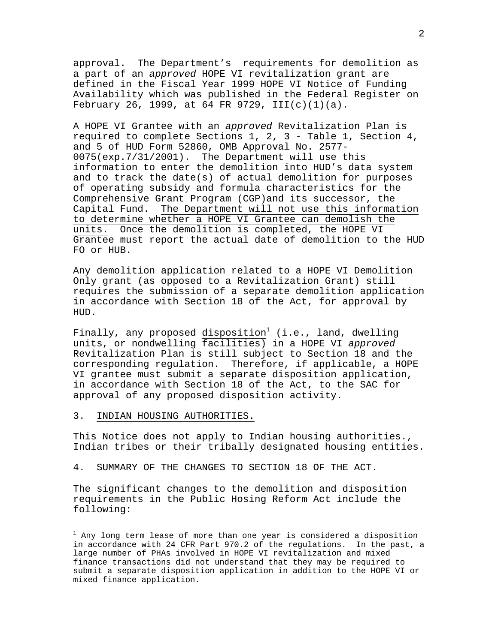approval. The Department's requirements for demolition as a part of an *approved* HOPE VI revitalization grant are defined in the Fiscal Year 1999 HOPE VI Notice of Funding Availability which was published in the Federal Register on February 26, 1999, at 64 FR 9729, III(c)(1)(a).

A HOPE VI Grantee with an *approved* Revitalization Plan is required to complete Sections 1, 2, 3 - Table 1, Section 4, and 5 of HUD Form 52860, OMB Approval No. 2577- 0075(exp.7/31/2001). The Department will use this information to enter the demolition into HUD's data system and to track the date(s) of actual demolition for purposes of operating subsidy and formula characteristics for the Comprehensive Grant Program (CGP)and its successor, the Capital Fund. The Department will not use this information to determine whether a HOPE VI Grantee can demolish the units. Once the demolition is completed, the HOPE VI Grantee must report the actual date of demolition to the HUD FO or HUB.

Any demolition application related to a HOPE VI Demolition Only grant (as opposed to a Revitalization Grant) still requires the submission of a separate demolition application in accordance with Section 18 of the Act, for approval by HUD.

Finally, any proposed disposition<sup>1</sup> (i.e., land, dwelling units, or nondwelling facilities) in a HOPE VI *approved* Revitalization Plan is still subject to Section 18 and the corresponding regulation. Therefore, if applicable, a HOPE VI grantee must submit a separate disposition application, in accordance with Section 18 of the Act, to the SAC for approval of any proposed disposition activity.

#### 3. INDIAN HOUSING AUTHORITIES.

This Notice does not apply to Indian housing authorities., Indian tribes or their tribally designated housing entities.

#### 4. SUMMARY OF THE CHANGES TO SECTION 18 OF THE ACT.

The significant changes to the demolition and disposition requirements in the Public Hosing Reform Act include the following:

 $^{\rm 1}$  Any long term lease of more than one year is considered a disposition in accordance with 24 CFR Part 970.2 of the regulations. In the past, a large number of PHAs involved in HOPE VI revitalization and mixed finance transactions did not understand that they may be required to submit a separate disposition application in addition to the HOPE VI or mixed finance application.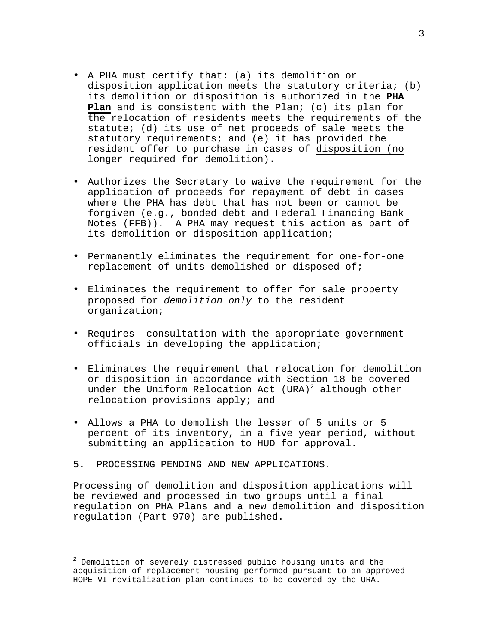- A PHA must certify that: (a) its demolition or disposition application meets the statutory criteria; (b) its demolition or disposition is authorized in the **PHA Plan** and is consistent with the Plan; (c) its plan for the relocation of residents meets the requirements of the statute; (d) its use of net proceeds of sale meets the statutory requirements; and (e) it has provided the resident offer to purchase in cases of disposition (no longer required for demolition).
- Authorizes the Secretary to waive the requirement for the application of proceeds for repayment of debt in cases where the PHA has debt that has not been or cannot be forgiven (e.g., bonded debt and Federal Financing Bank Notes (FFB)). A PHA may request this action as part of its demolition or disposition application;
- Permanently eliminates the requirement for one-for-one replacement of units demolished or disposed of;
- Eliminates the requirement to offer for sale property proposed for *demolition only* to the resident organization;
- Requires consultation with the appropriate government officials in developing the application;
- Eliminates the requirement that relocation for demolition or disposition in accordance with Section 18 be covered under the Uniform Relocation Act  $(URA)^2$  although other relocation provisions apply; and
- Allows a PHA to demolish the lesser of 5 units or 5 percent of its inventory, in a five year period, without submitting an application to HUD for approval.

## 5**.** PROCESSING PENDING AND NEW APPLICATIONS.

i

Processing of demolition and disposition applications will be reviewed and processed in two groups until a final regulation on PHA Plans and a new demolition and disposition regulation (Part 970) are published.

 $^{\text{2}}$  Demolition of severely distressed public housing units and the acquisition of replacement housing performed pursuant to an approved HOPE VI revitalization plan continues to be covered by the URA.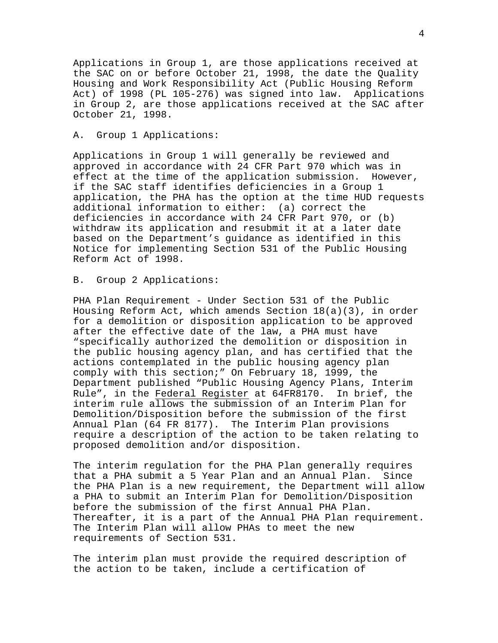Applications in Group 1, are those applications received at the SAC on or before October 21, 1998, the date the Quality Housing and Work Responsibility Act (Public Housing Reform Act) of 1998 (PL 105-276) was signed into law. Applications in Group 2, are those applications received at the SAC after October 21, 1998.

### A. Group 1 Applications:

Applications in Group 1 will generally be reviewed and approved in accordance with 24 CFR Part 970 which was in effect at the time of the application submission. However, if the SAC staff identifies deficiencies in a Group 1 application, the PHA has the option at the time HUD requests additional information to either: (a) correct the deficiencies in accordance with 24 CFR Part 970, or (b) withdraw its application and resubmit it at a later date based on the Department's guidance as identified in this Notice for implementing Section 531 of the Public Housing Reform Act of 1998.

### B. Group 2 Applications:

PHA Plan Requirement - Under Section 531 of the Public Housing Reform Act, which amends Section 18(a)(3), in order for a demolition or disposition application to be approved after the effective date of the law, a PHA must have "specifically authorized the demolition or disposition in the public housing agency plan, and has certified that the actions contemplated in the public housing agency plan comply with this section;" On February 18, 1999, the Department published "Public Housing Agency Plans, Interim Rule", in the Federal Register at 64FR8170. In brief, the interim rule allows the submission of an Interim Plan for Demolition/Disposition before the submission of the first Annual Plan (64 FR 8177). The Interim Plan provisions require a description of the action to be taken relating to proposed demolition and/or disposition.

The interim regulation for the PHA Plan generally requires that a PHA submit a 5 Year Plan and an Annual Plan. Since the PHA Plan is a new requirement, the Department will allow a PHA to submit an Interim Plan for Demolition/Disposition before the submission of the first Annual PHA Plan. Thereafter, it is a part of the Annual PHA Plan requirement. The Interim Plan will allow PHAs to meet the new requirements of Section 531.

The interim plan must provide the required description of the action to be taken, include a certification of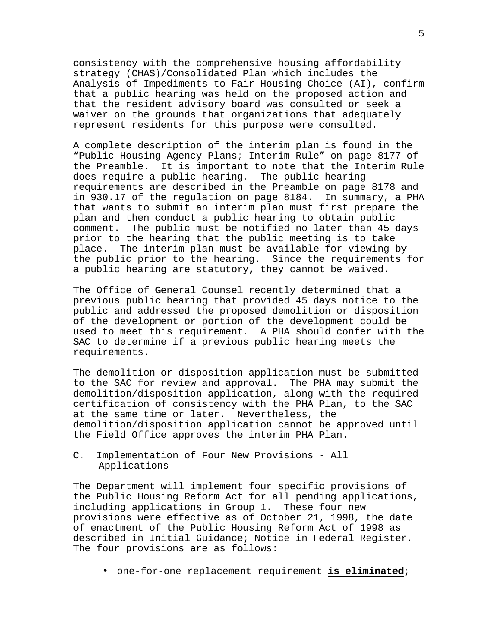consistency with the comprehensive housing affordability strategy (CHAS)/Consolidated Plan which includes the Analysis of Impediments to Fair Housing Choice (AI), confirm that a public hearing was held on the proposed action and that the resident advisory board was consulted or seek a waiver on the grounds that organizations that adequately represent residents for this purpose were consulted.

A complete description of the interim plan is found in the "Public Housing Agency Plans; Interim Rule" on page 8177 of the Preamble. It is important to note that the Interim Rule does require a public hearing. The public hearing requirements are described in the Preamble on page 8178 and in 930.17 of the regulation on page 8184. In summary, a PHA that wants to submit an interim plan must first prepare the plan and then conduct a public hearing to obtain public comment. The public must be notified no later than 45 days prior to the hearing that the public meeting is to take place. The interim plan must be available for viewing by the public prior to the hearing. Since the requirements for a public hearing are statutory, they cannot be waived.

The Office of General Counsel recently determined that a previous public hearing that provided 45 days notice to the public and addressed the proposed demolition or disposition of the development or portion of the development could be used to meet this requirement. A PHA should confer with the SAC to determine if a previous public hearing meets the requirements.

The demolition or disposition application must be submitted to the SAC for review and approval. The PHA may submit the demolition/disposition application, along with the required certification of consistency with the PHA Plan, to the SAC at the same time or later. Nevertheless, the demolition/disposition application cannot be approved until the Field Office approves the interim PHA Plan.

C. Implementation of Four New Provisions - All Applications

The Department will implement four specific provisions of the Public Housing Reform Act for all pending applications, including applications in Group 1. These four new provisions were effective as of October 21, 1998, the date of enactment of the Public Housing Reform Act of 1998 as described in Initial Guidance; Notice in Federal Register. The four provisions are as follows:

• one-for-one replacement requirement **is eliminated**;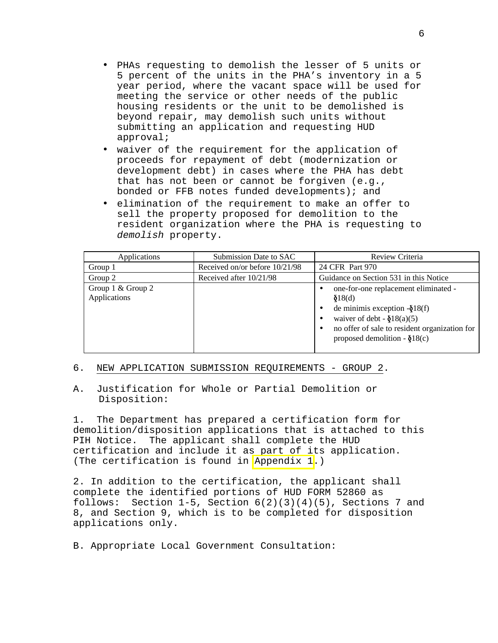- PHAs requesting to demolish the lesser of 5 units or 5 percent of the units in the PHA's inventory in a 5 year period, where the vacant space will be used for meeting the service or other needs of the public housing residents or the unit to be demolished is beyond repair, may demolish such units without submitting an application and requesting HUD approval;
- waiver of the requirement for the application of proceeds for repayment of debt (modernization or development debt) in cases where the PHA has debt that has not been or cannot be forgiven (e.g., bonded or FFB notes funded developments); and
- elimination of the requirement to make an offer to sell the property proposed for demolition to the resident organization where the PHA is requesting to *demolish* property.

| Applications                      | Submission Date to SAC         | Review Criteria                                                                                                                                                                                                             |  |
|-----------------------------------|--------------------------------|-----------------------------------------------------------------------------------------------------------------------------------------------------------------------------------------------------------------------------|--|
| Group 1                           | Received on/or before 10/21/98 | 24 CFR Part 970                                                                                                                                                                                                             |  |
| Group 2                           | Received after 10/21/98        | Guidance on Section 531 in this Notice                                                                                                                                                                                      |  |
| Group 1 & Group 2<br>Applications |                                | one-for-one replacement eliminated -<br>$\delta 18$ (d)<br>de minimis exception $-\xi$ 18(f)<br>waiver of debt - $\delta 18(a)(5)$<br>no offer of sale to resident organization for<br>proposed demolition - $\delta 18(c)$ |  |

### 6. NEW APPLICATION SUBMISSION REQUIREMENTS - GROUP 2.

## A. Justification for Whole or Partial Demolition or Disposition:

1. The Department has prepared a certification form for demolition/disposition applications that is attached to this PIH Notice. The applicant shall complete the HUD certification and include it as part of its application. (The certification is found in [Appendix 1.](http://www.hud.gov/pih/publications/notices/99-19a1.pdf))

2. In addition to the certification, the applicant shall complete the identified portions of HUD FORM 52860 as follows: Section 1-5, Section  $6(2)(3)(4)(5)$ , Sections 7 and 8, and Section 9, which is to be completed for disposition applications only.

B. Appropriate Local Government Consultation: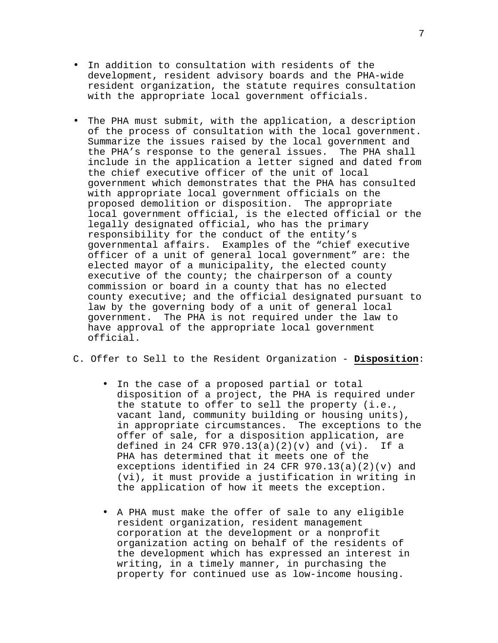- In addition to consultation with residents of the development, resident advisory boards and the PHA-wide resident organization, the statute requires consultation with the appropriate local government officials.
- The PHA must submit, with the application, a description of the process of consultation with the local government. Summarize the issues raised by the local government and the PHA's response to the general issues. The PHA shall include in the application a letter signed and dated from the chief executive officer of the unit of local government which demonstrates that the PHA has consulted with appropriate local government officials on the proposed demolition or disposition. The appropriate local government official, is the elected official or the legally designated official, who has the primary responsibility for the conduct of the entity's governmental affairs. Examples of the "chief executive officer of a unit of general local government" are: the elected mayor of a municipality, the elected county executive of the county; the chairperson of a county commission or board in a county that has no elected county executive; and the official designated pursuant to law by the governing body of a unit of general local government. The PHA is not required under the law to have approval of the appropriate local government official.
- C. Offer to Sell to the Resident Organization **Disposition**:
	- In the case of a proposed partial or total disposition of a project, the PHA is required under the statute to offer to sell the property (i.e., vacant land, community building or housing units), in appropriate circumstances. The exceptions to the offer of sale, for a disposition application, are defined in 24 CFR  $970.13(a)(2)(v)$  and  $(vi)$ . If a PHA has determined that it meets one of the exceptions identified in 24 CFR 970.13(a)(2)(v) and (vi), it must provide a justification in writing in the application of how it meets the exception.
	- A PHA must make the offer of sale to any eligible resident organization, resident management corporation at the development or a nonprofit organization acting on behalf of the residents of the development which has expressed an interest in writing, in a timely manner, in purchasing the property for continued use as low-income housing.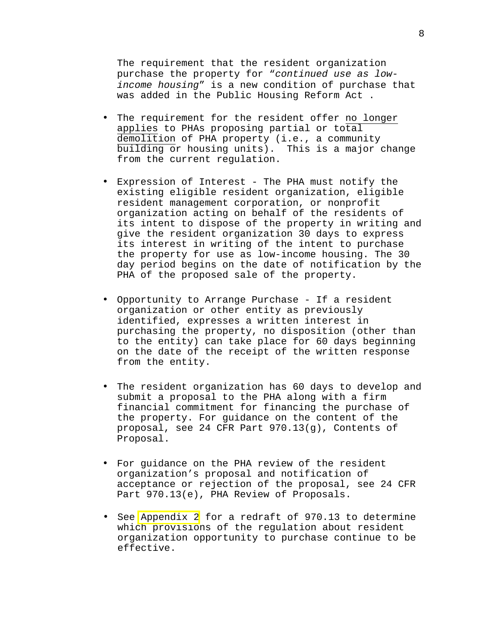The requirement that the resident organization purchase the property for "*continued use as lowincome housing*" is a new condition of purchase that was added in the Public Housing Reform Act .

- The requirement for the resident offer no longer applies to PHAs proposing partial or total demolition of PHA property (i.e., a community building or housing units). This is a major change from the current regulation.
- Expression of Interest The PHA must notify the existing eligible resident organization, eligible resident management corporation, or nonprofit organization acting on behalf of the residents of its intent to dispose of the property in writing and give the resident organization 30 days to express its interest in writing of the intent to purchase the property for use as low-income housing. The 30 day period begins on the date of notification by the PHA of the proposed sale of the property.
- Opportunity to Arrange Purchase If a resident organization or other entity as previously identified, expresses a written interest in purchasing the property, no disposition (other than to the entity) can take place for 60 days beginning on the date of the receipt of the written response from the entity.
- The resident organization has 60 days to develop and submit a proposal to the PHA along with a firm financial commitment for financing the purchase of the property. For guidance on the content of the proposal, see 24 CFR Part 970.13(g), Contents of Proposal.
- For guidance on the PHA review of the resident organization's proposal and notification of acceptance or rejection of the proposal, see 24 CFR Part 970.13(e), PHA Review of Proposals.
- See [Appendix 2](http://www.hud.gov/pih/publications/notices/99-19a2.pdf) for a redraft of 970.13 to determine which provisions of the regulation about resident organization opportunity to purchase continue to be effective.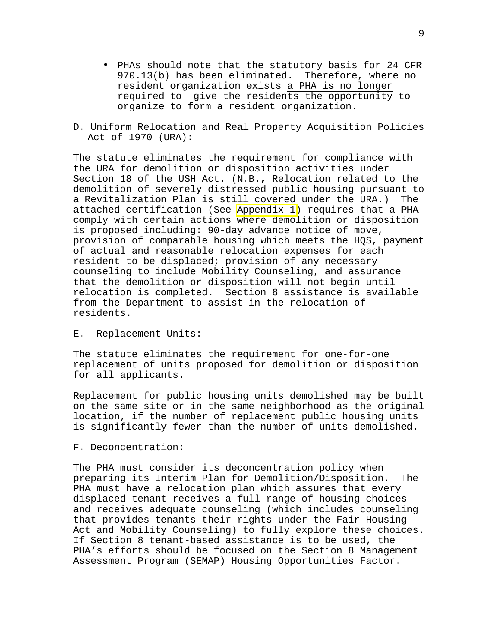- PHAs should note that the statutory basis for 24 CFR 970.13(b) has been eliminated. Therefore, where no resident organization exists a PHA is no longer required to give the residents the opportunity to organize to form a resident organization.
- D. Uniform Relocation and Real Property Acquisition Policies Act of 1970 (URA):

The statute eliminates the requirement for compliance with the URA for demolition or disposition activities under Section 18 of the USH Act. (N.B., Relocation related to the demolition of severely distressed public housing pursuant to a Revitalization Plan is still covered under the URA.) The attached certification (See [Appendix 1\)](http://www.hud.gov/pih/publications/notices/99-19a1.pdf) requires that a PHA comply with certain actions where demolition or disposition is proposed including: 90-day advance notice of move, provision of comparable housing which meets the HQS, payment of actual and reasonable relocation expenses for each resident to be displaced; provision of any necessary counseling to include Mobility Counseling, and assurance that the demolition or disposition will not begin until relocation is completed. Section 8 assistance is available from the Department to assist in the relocation of residents.

E. Replacement Units:

The statute eliminates the requirement for one-for-one replacement of units proposed for demolition or disposition for all applicants.

Replacement for public housing units demolished may be built on the same site or in the same neighborhood as the original location, if the number of replacement public housing units is significantly fewer than the number of units demolished.

#### F. Deconcentration:

The PHA must consider its deconcentration policy when preparing its Interim Plan for Demolition/Disposition. The PHA must have a relocation plan which assures that every displaced tenant receives a full range of housing choices and receives adequate counseling (which includes counseling that provides tenants their rights under the Fair Housing Act and Mobility Counseling) to fully explore these choices. If Section 8 tenant-based assistance is to be used, the PHA's efforts should be focused on the Section 8 Management Assessment Program (SEMAP) Housing Opportunities Factor.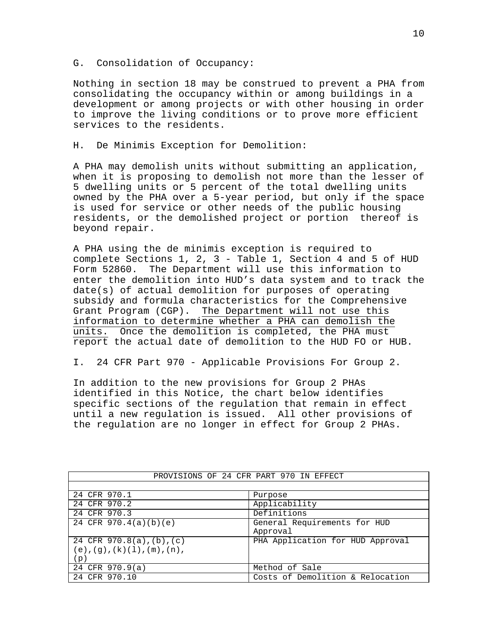#### G. Consolidation of Occupancy:

Nothing in section 18 may be construed to prevent a PHA from consolidating the occupancy within or among buildings in a development or among projects or with other housing in order to improve the living conditions or to prove more efficient services to the residents.

#### H. De Minimis Exception for Demolition:

A PHA may demolish units without submitting an application, when it is proposing to demolish not more than the lesser of 5 dwelling units or 5 percent of the total dwelling units owned by the PHA over a 5-year period, but only if the space is used for service or other needs of the public housing residents, or the demolished project or portion thereof is beyond repair.

A PHA using the de minimis exception is required to complete Sections 1, 2, 3 - Table 1, Section 4 and 5 of HUD Form 52860. The Department will use this information to enter the demolition into HUD's data system and to track the date(s) of actual demolition for purposes of operating subsidy and formula characteristics for the Comprehensive Grant Program (CGP). The Department will not use this information to determine whether a PHA can demolish the units. Once the demolition is completed, the PHA must report the actual date of demolition to the HUD FO or HUB.

I. 24 CFR Part 970 - Applicable Provisions For Group 2.

In addition to the new provisions for Group 2 PHAs identified in this Notice, the chart below identifies specific sections of the regulation that remain in effect until a new regulation is issued. All other provisions of the regulation are no longer in effect for Group 2 PHAs.

| PROVISIONS OF 24 CFR PART 970 IN EFFECT       |                                  |  |  |  |
|-----------------------------------------------|----------------------------------|--|--|--|
|                                               |                                  |  |  |  |
| 24 CFR 970.1                                  | Purpose                          |  |  |  |
| 24 CFR 970.2                                  | Applicability                    |  |  |  |
| 24 CFR 970.3                                  | Definitions                      |  |  |  |
| 24 CFR $970.4(a)(b)(e)$                       | General Requirements for HUD     |  |  |  |
|                                               | Approval                         |  |  |  |
| 24 CFR $970.8(a)$ , (b), (c)                  | PHA Application for HUD Approval |  |  |  |
| $(e)$ , $(g)$ , $(k)$ $(1)$ , $(m)$ , $(n)$ , |                                  |  |  |  |
| (p)                                           |                                  |  |  |  |
| 24 CFR 970.9(a)                               | Method of Sale                   |  |  |  |
| 24 CFR 970.10                                 | Costs of Demolition & Relocation |  |  |  |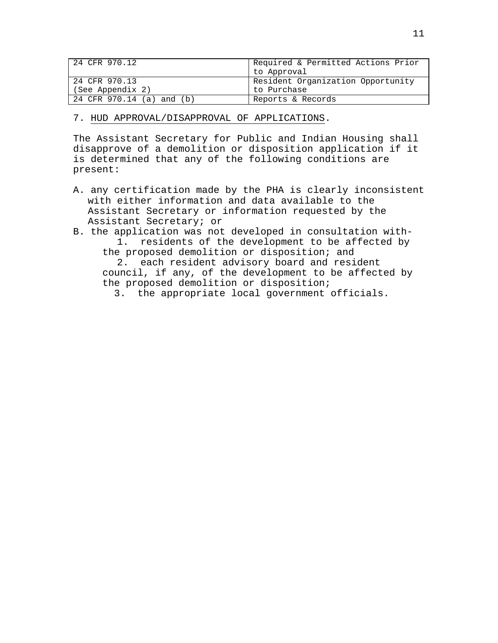| 24 CFR 970.12             | Required & Permitted Actions Prior |
|---------------------------|------------------------------------|
|                           | to Approval                        |
| 24 CFR 970.13             | Resident Organization Opportunity  |
| (See Appendix 2)          | to Purchase                        |
| 24 CFR 970.14 (a) and (b) | Reports & Records                  |

## 7. HUD APPROVAL/DISAPPROVAL OF APPLICATIONS.

The Assistant Secretary for Public and Indian Housing shall disapprove of a demolition or disposition application if it is determined that any of the following conditions are present:

- A. any certification made by the PHA is clearly inconsistent with either information and data available to the Assistant Secretary or information requested by the Assistant Secretary; or
- B. the application was not developed in consultation with-1. residents of the development to be affected by the proposed demolition or disposition; and 2. each resident advisory board and resident

council, if any, of the development to be affected by the proposed demolition or disposition;

3. the appropriate local government officials.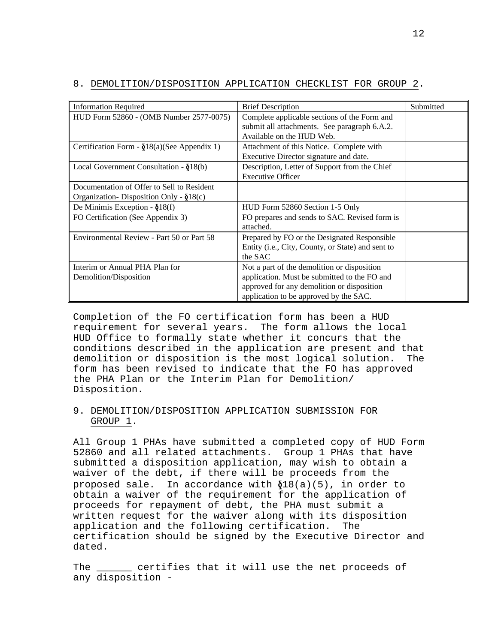| <b>Information Required</b>                     | <b>Brief Description</b>                                   | Submitted |
|-------------------------------------------------|------------------------------------------------------------|-----------|
| HUD Form 52860 - (OMB Number 2577-0075)         | Complete applicable sections of the Form and               |           |
|                                                 | submit all attachments. See paragraph 6.A.2.               |           |
|                                                 | Available on the HUD Web.                                  |           |
| Certification Form - $\S$ 18(a)(See Appendix 1) | Attachment of this Notice. Complete with                   |           |
|                                                 | Executive Director signature and date.                     |           |
| Local Government Consultation - $\delta$ 18(b)  | Description, Letter of Support from the Chief              |           |
|                                                 | <b>Executive Officer</b>                                   |           |
| Documentation of Offer to Sell to Resident      |                                                            |           |
| Organization-Disposition Only - $\S$ 18(c)      |                                                            |           |
| De Minimis Exception - $\S$ 18(f)               | HUD Form 52860 Section 1-5 Only                            |           |
| FO Certification (See Appendix 3)               | FO prepares and sends to SAC. Revised form is              |           |
|                                                 | attached.                                                  |           |
| Environmental Review - Part 50 or Part 58       | Prepared by FO or the Designated Responsible               |           |
|                                                 | Entity ( <i>i.e.</i> , City, County, or State) and sent to |           |
|                                                 | the SAC                                                    |           |
| Interim or Annual PHA Plan for                  | Not a part of the demolition or disposition                |           |
| Demolition/Disposition                          | application. Must be submitted to the FO and               |           |
|                                                 | approved for any demolition or disposition                 |           |
|                                                 | application to be approved by the SAC.                     |           |

#### 8. DEMOLITION/DISPOSITION APPLICATION CHECKLIST FOR GROUP 2.

Completion of the FO certification form has been a HUD requirement for several years. The form allows the local HUD Office to formally state whether it concurs that the conditions described in the application are present and that demolition or disposition is the most logical solution. The form has been revised to indicate that the FO has approved the PHA Plan or the Interim Plan for Demolition/ Disposition.

# 9. DEMOLITION/DISPOSITION APPLICATION SUBMISSION FOR GROUP 1.

All Group 1 PHAs have submitted a completed copy of HUD Form 52860 and all related attachments. Group 1 PHAs that have submitted a disposition application, may wish to obtain a waiver of the debt, if there will be proceeds from the proposed sale. In accordance with  $\delta^{18}(a)(5)$ , in order to obtain a waiver of the requirement for the application of proceeds for repayment of debt, the PHA must submit a written request for the waiver along with its disposition application and the following certification. The certification should be signed by the Executive Director and dated.

The \_\_\_\_\_\_ certifies that it will use the net proceeds of any disposition -